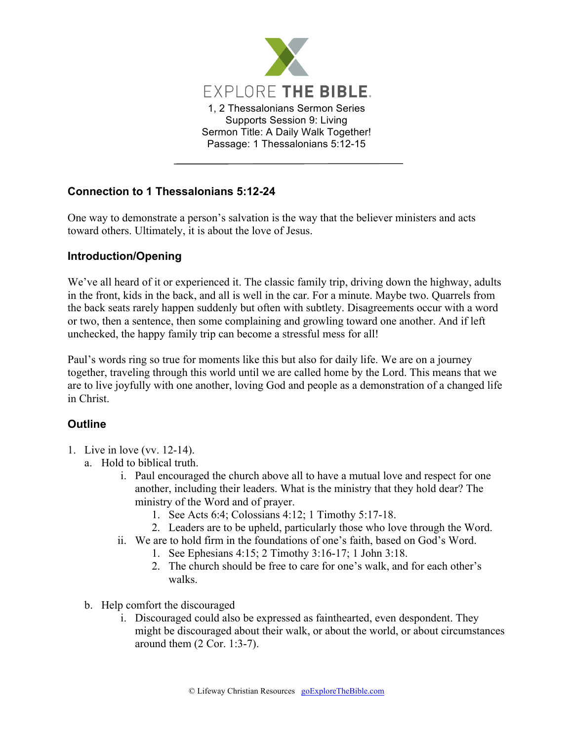

## **Connection to 1 Thessalonians 5:12-24**

One way to demonstrate a person's salvation is the way that the believer ministers and acts toward others. Ultimately, it is about the love of Jesus.

## **Introduction/Opening**

We've all heard of it or experienced it. The classic family trip, driving down the highway, adults in the front, kids in the back, and all is well in the car. For a minute. Maybe two. Quarrels from the back seats rarely happen suddenly but often with subtlety. Disagreements occur with a word or two, then a sentence, then some complaining and growling toward one another. And if left unchecked, the happy family trip can become a stressful mess for all!

Paul's words ring so true for moments like this but also for daily life. We are on a journey together, traveling through this world until we are called home by the Lord. This means that we are to live joyfully with one another, loving God and people as a demonstration of a changed life in Christ.

## **Outline**

- 1. Live in love (vv. 12-14).
	- a. Hold to biblical truth.
		- i. Paul encouraged the church above all to have a mutual love and respect for one another, including their leaders. What is the ministry that they hold dear? The ministry of the Word and of prayer.
			- 1. See Acts 6:4; Colossians 4:12; 1 Timothy 5:17-18.
			- 2. Leaders are to be upheld, particularly those who love through the Word.
		- ii. We are to hold firm in the foundations of one's faith, based on God's Word.
			- 1. See Ephesians 4:15; 2 Timothy 3:16-17; 1 John 3:18.
			- 2. The church should be free to care for one's walk, and for each other's walks.
	- b. Help comfort the discouraged
		- i. Discouraged could also be expressed as fainthearted, even despondent. They might be discouraged about their walk, or about the world, or about circumstances around them (2 Cor. 1:3-7).